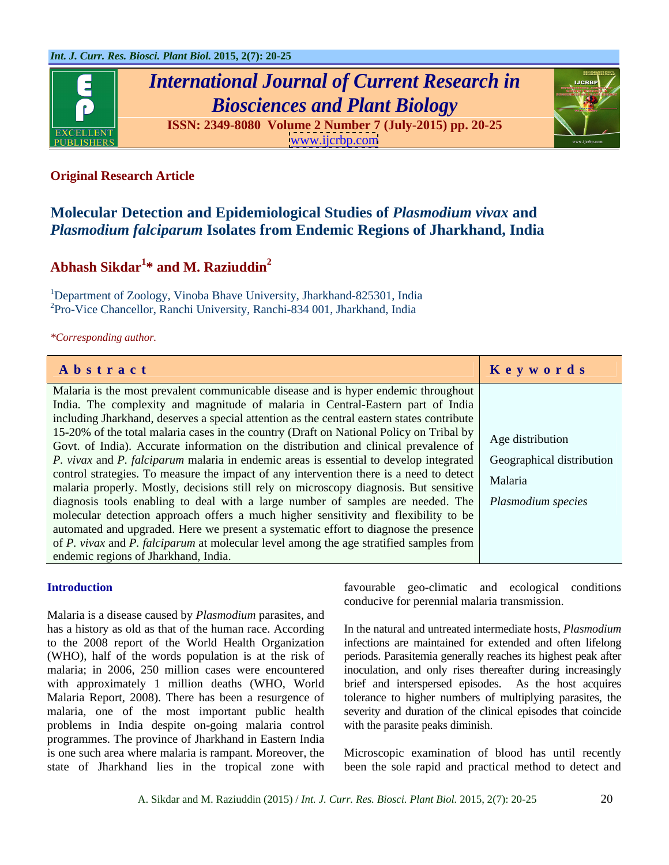

# *International Journal of Current Research in Biosciences and Plant Biology*

**ISSN: 2349-8080 Volume 2 Number 7 (July-2015) pp. 20-25** [www.ijcrbp.com](http://www.ijcrbp.com)



### **Original Research Article**

## **Molecular Detection and Epidemiological Studies of** *Plasmodium vivax* **and**  *Plasmodium falciparum* **Isolates from Endemic Regions of Jharkhand, India**

### Abhash Sikdar<sup>1\*</sup> and M. Raziuddin<sup>2</sup> **\* and M. Raziuddin<sup>2</sup>**

<sup>1</sup>Department of Zoology, Vinoba Bhave University, Jharkhand-825301, India  ${}^{2}$ Pro-Vice Chancellor, Ranchi University, Ranchi-834 001, Jharkhand, India

*\*Corresponding author.*

| Abstract                                                                                                                       | Keywords         |
|--------------------------------------------------------------------------------------------------------------------------------|------------------|
| Malaria is the most prevalent communicable disease and is hyper endemic throughout                                             |                  |
| India. The complexity and magnitude of malaria in Central-Eastern part of India                                                |                  |
| including Jharkhand, deserves a special attention as the central eastern states contribute                                     |                  |
| 15-20% of the total malaria cases in the country (Draft on National Policy on Tribal by                                        | Age distribution |
| Govt. of India). Accurate information on the distribution and clinical prevalence of                                           |                  |
| <i>P. vivax</i> and <i>P. falciparum</i> malaria in endemic areas is essential to develop integrated Geographical distribution |                  |
| control strategies. To measure the impact of any intervention there is a need to detect Malaria                                |                  |
| malaria properly. Mostly, decisions still rely on microscopy diagnosis. But sensitive                                          |                  |
| diagnosis tools enabling to deal with a large number of samples are needed. The <i>Plasmodium species</i>                      |                  |
| molecular detection approach offers a much higher sensitivity and flexibility to be                                            |                  |
| automated and upgraded. Here we present a systematic effort to diagnose the presence                                           |                  |
| of P. vivax and P. falciparum at molecular level among the age stratified samples from                                         |                  |
| endemic regions of Jharkhand, India.                                                                                           |                  |

Malaria is a disease caused by *Plasmodium* parasites, and has a history as old as that of the human race. According to the 2008 report of the World Health Organization infections are maintained for extended and often lifelong (WHO), half of the words population is at the risk of periods. Parasitemia generally reaches its highest peak after malaria; in 2006, 250 million cases were encountered inoculation, and only rises thereafter during increasingly with approximately 1 million deaths (WHO, World brief and interspersed episodes. As the host acquires Malaria Report, 2008). There has been a resurgence of tolerance to higher numbers of multiplying parasites, the malaria, one of the most important public health severity and duration of the clinical episodes that coincide problems in India despite on-going malaria control programmes. The province of Jharkhand in Eastern India is one such area where malaria is rampant. Moreover, the Microscopic examination of blood has until recently

**Introduction favourable** geo-climatic and ecological conditions conducive for perennial malaria transmission.

> In the natural and untreated intermediate hosts, *Plasmodium*  with the parasite peaks diminish.

state of Jharkhand lies in the tropical zone with been the sole rapid and practical method to detect and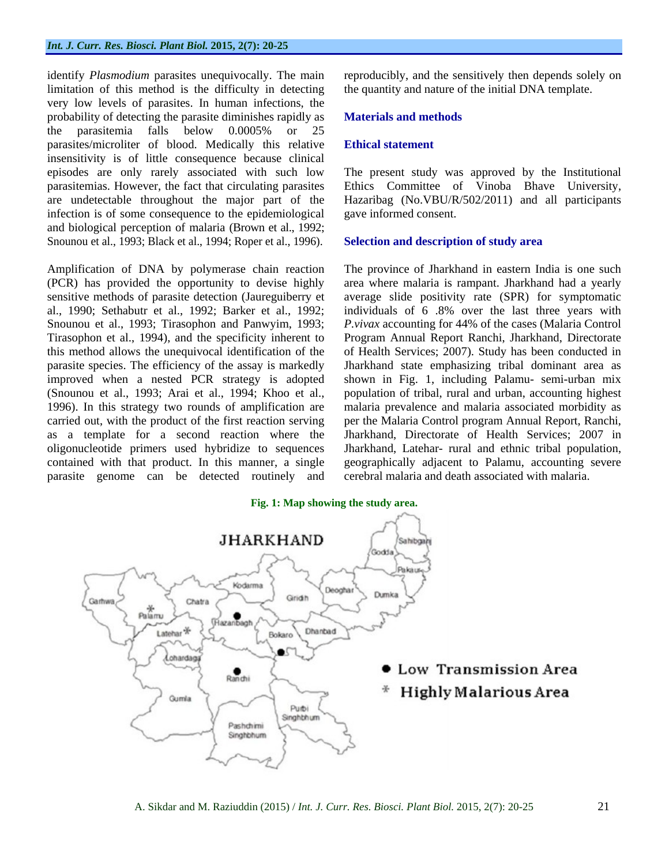### *Int. J. Curr. Res. Biosci. Plant Biol.* **2015, 2(7): 20-25**

identify *Plasmodium* parasites unequivocally. The main limitation of this method is the difficulty in detecting very low levels of parasites. In human infections, the probability of detecting the parasite diminishes rapidly as **Materials and methods** the parasitemia falls below 0.0005% or 25 parasites/microliter of blood. Medically this relative Ethical statement insensitivity is of little consequence because clinical episodes are only rarely associated with such low The present study was approved by the Institutional parasitemias. However, the fact that circulating parasites Ethics Committee of Vinoba Bhave University, are undetectable throughout the major part of the Hazaribag (No.VBU/R/502/2011) and all participants infection is of some consequence to the epidemiological and biological perception of malaria (Brown et al., 1992; Snounou et al., 1993; Black et al., 1994; Roper et al., 1996).

Amplification of DNA by polymerase chain reaction The province of Jharkhand in eastern India is one such (PCR) has provided the opportunity to devise highly sensitive methods of parasite detection (Jaureguiberry et average slide positivity rate (SPR) for symptomatic al., 1990; Sethabutr et al., 1992; Barker et al., 1992; individuals of 6 .8% over the last three years with Snounou et al., 1993; Tirasophon and Panwyim, 1993; *P.vivax* accounting for 44% of the cases (Malaria Control Tirasophon et al., 1994), and the specificity inherent to Program Annual Report Ranchi, Jharkhand, Directorate this method allows the unequivocal identification of the of Health Services; 2007). Study has been conducted in parasite species. The efficiency of the assay is markedly Jharkhand state emphasizing tribal dominant area as improved when a nested PCR strategy is adopted shown in Fig. 1, including Palamu- semi-urban mix (Snounou et al., 1993; Arai et al., 1994; Khoo et al., population of tribal, rural and urban, accounting highest 1996). In this strategy two rounds of amplification are malaria prevalence and malaria associated morbidity as carried out, with the product of the first reaction serving per the Malaria Control program Annual Report, Ranchi, as a template for a second reaction where the Jharkhand, Directorate of Health Services; 2007 in oligonucleotide primers used hybridize to sequences contained with that product. In this manner, a single geographically adjacent to Palamu, accounting severe parasite genome can be detected routinely and

reproducibly, and the sensitively then depends solely on the quantity and nature of the initial DNA template.

### **Materials and methods**

### **Ethical statement**

gave informed consent.

### **Selection and description of study area**

area where malaria is rampant. Jharkhand had a yearly Jharkhand, Latehar- rural and ethnic tribal population, cerebral malaria and death associated with malaria.

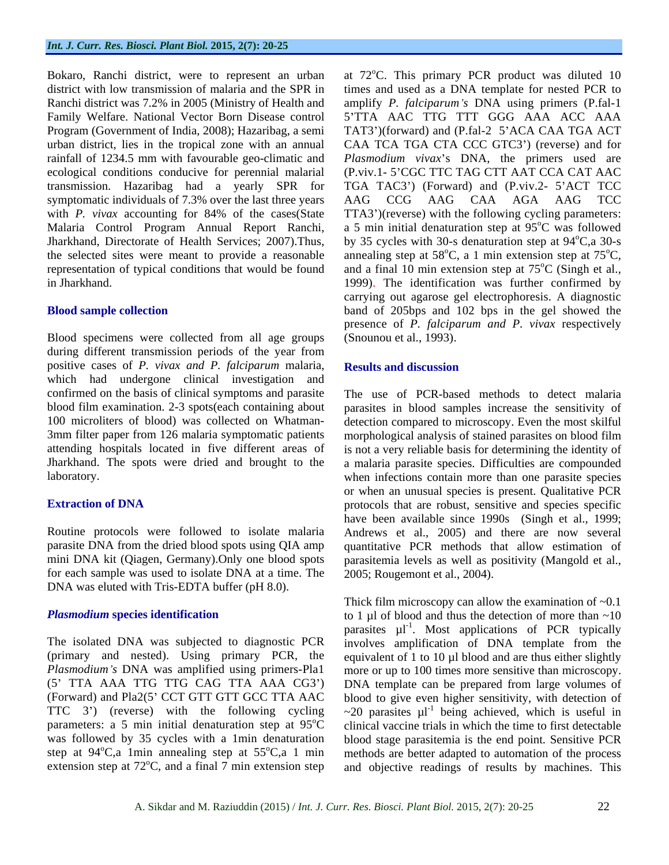transmission. Hazaribag had a yearly SPR for symptomatic individuals of 7.3% over the last three years AAG CCG AAG CAA AGA AAG TCC

Blood specimens were collected from all age groups during different transmission periods of the year from positive cases of *P. vivax and P. falciparum* malaria, which had undergone clinical investigation and confirmed on the basis of clinical symptoms and parasite The use of PCR-based methods to detect malaria

for each sample was used to isolate DNA at a time. The 2005; Rougemont et al., 2004). DNA was eluted with Tris-EDTA buffer (pH 8.0).

Bokaro, Ranchi district, were to represent an urban at 72°C. This primary PCR product was diluted 10 district with low transmission of malaria and the SPR in times and used as a DNA template for nested PCR to Ranchi district was 7.2% in 2005 (Ministry of Health and amplify *P. falciparum s* DNA using primers (P.fal-1 Family Welfare. National Vector Born Disease control 5'TTA AAC TTG TTT GGG AAA ACC AAA Program (Government of India, 2008); Hazaribag, a semi TAT3')(forward) and (P.fal-2 5'ACA CAA TGA ACT urban district, lies in the tropical zone with an annual CAA TCA TGA CTA CCC GTC3 ) (reverse) and for rainfall of 1234.5 mm with favourable geo-climatic and *Plasmodium vivax*'s DNA, the primers used are ecological conditions conducive for perennial malarial (P.viv.1-5'CGC TTC TAG CTT AAT CCA CAT AAC with *P. vivax* accounting for 84% of the cases(State TTA3')(reverse) with the following cycling parameters: Malaria Control Program Annual Report Ranchi, a 5 min initial denaturation step at 95°C was followed Jharkhand, Directorate of Health Services; 2007).Thus, by 35 cycles with 30-s denaturation step at 94°C, a 30-s the selected sites were meant to provide a reasonable annealing step at  $58^{\circ}$ C, a 1 min extension step at  $75^{\circ}$ C, representation of typical conditions that would be found and a final 10 min extension step at  $75^{\circ}$ C (Singh et al., in Jharkhand. 1999). The identification was further confirmed by **Blood sample collection** band of 205bps and 102 bps in the gel showed the TGA TAC3') (Forward) and (P.viv.2- 5'ACT TCC AAG CCG AAG CAA AGA AAG TCC <sup>o</sup>C was followed  $^{\circ}$ C,a 30-s  $\mathrm{^{\circ}C},$  $\rm{^{\circ}C}$  (Singh et al., carrying out agarose gel electrophoresis. A diagnostic presence of *P. falciparum and P. vivax* respectively (Snounou et al., 1993).

### **Results and discussion**

blood film examination. 2-3 spots(each containing about parasites in blood samples increase the sensitivity of 100 microliters of blood) was collected on Whatman- detection compared to microscopy. Even the most skilful 3mm filter paper from 126 malaria symptomatic patients morphological analysis of stained parasites on blood film attending hospitals located in five different areas of is not a very reliable basis for determining the identity of Jharkhand. The spots were dried and brought to the a malaria parasite species. Difficulties are compounded laboratory. when infections contain more than one parasite species **Extraction of DNA** protocols that are robust, sensitive and species specific Routine protocols were followed to isolate malaria Andrews et al., 2005) and there are now several parasite DNA from the dried blood spots using QIA amp quantitative PCR methods that allow estimation of mini DNA kit (Qiagen, Germany).Only one blood spots parasitemia levels as well as positivity (Mangold et al., or when an unusual species is present. Qualitative PCR have been available since 1990s (Singh et al., 1999;

**Plasmodium species identification** to 1 µl of blood and thus the detection of more than ~10 The isolated DNA was subjected to diagnostic PCR involves amplification of DNA template from the (primary and nested). Using primary PCR, the equivalent of 1 to 10 µl blood and are thus either slightly Plasmodium's DNA was amplified using primers-Pla1 more or up to 100 times more sensitive than microscopy. (5' TTA AAA TTG TTG CAG TTA AAA CG3') DNA template can be prepared from large volumes of (Forward) and Pla2(5' CCT GTT GTT GCC TTA AAC blood to give even higher sensitivity, with detection of TTC 3') (reverse) with the following cycling  $\sim 20$  parasites  $\mu$ <sup>1</sup> being achieved, which is useful in parameters: a 5 min initial denaturation step at  $95^{\circ}$ C clinical vaccine trials in which the time to first detectable was followed by 35 cycles with a 1min denaturation blood stage parasitemia is the end point. Sensitive PCR step at  $94^{\circ}$ C,a 1 min annealing step at  $55^{\circ}$ C,a 1 min methods are better adapted to automation of the process extension step at  $72^{\circ}$ C, and a final  $\overline{7}$  min extension step and objective readings of results by machines. This 2005; Rougemont et al., 2004). Thick film microscopy can allow the examination of ~0.1 parasites  $\mu I^{-1}$ . Most applications of PCR typically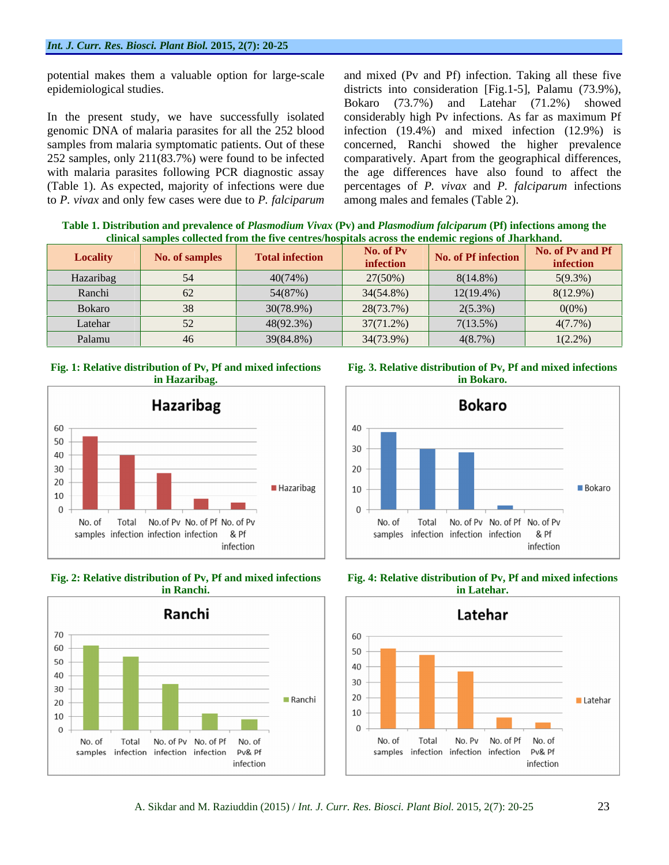252 samples, only 211(83.7%) were found to be infected comparatively. Apart from the geographical differences, with malaria parasites following PCR diagnostic assay the age differences have also found to affect the to *P. vivax* and only few cases were due to *P. falciparum*

potential makes them a valuable option for large-scale and mixed (Pv and Pf) infection. Taking all these five epidemiological studies. districts into consideration [Fig.1-5], Palamu (73.9%), In the present study, we have successfully isolated considerably high Pv infections. As far as maximum Pf genomic DNA of malaria parasites for all the 252 blood infection (19.4%) and mixed infection (12.9%) is samples from malaria symptomatic patients. Out of these concerned, Ranchi showed the higher prevalence (Table 1). As expected, majority of infections were due percentages of *P. vivax* and *P. falciparum* infections Bokaro (73.7%) and Latehar (71.2%) showed comparatively. Apart from the geographical differences,<br>the age differences have also found to affect the among males and females (Table 2).

**Table 1. Distribution and prevalence of** *Plasmodium Vivax* **(Pv) and** *Plasmodium falciparum* **(Pf) infections among the clinical samples collected from the five centres/hospitals across the endemic regions of Jharkhand.**

| Locality      | <b>No. of samples</b> | <b>Total infection</b> | No. of Pv<br>infection | No. of Pf infection | No. of Pv and Pf<br>infection |
|---------------|-----------------------|------------------------|------------------------|---------------------|-------------------------------|
| Hazaribag     |                       | 40(74%)                | $27(50\%)$             | $8(14.8\%)$         | 5(9.3%)                       |
| Ranchi        |                       | 54(87%)                | $34(54.8\%)$           | $12(19.4\%)$        | $8(12.9\%)$                   |
| <b>Bokaro</b> |                       | 30(78.9%)              | 28(73.7%)              | $2(5.3\%)$          | $0(0\%)$                      |
| Latehar       |                       | 48(92.3%)              | 37(71.2%)              | 7(13.5%)            | $4(7.7\%)$                    |
| Palamu        |                       | 39(84.8%)              | 34(73.9%)              | 4(8.7%)             | 1(2.20)<br>1(2.270)           |

## **Fig. 1: Relative distribution of Pv, Pf and mixed infections**















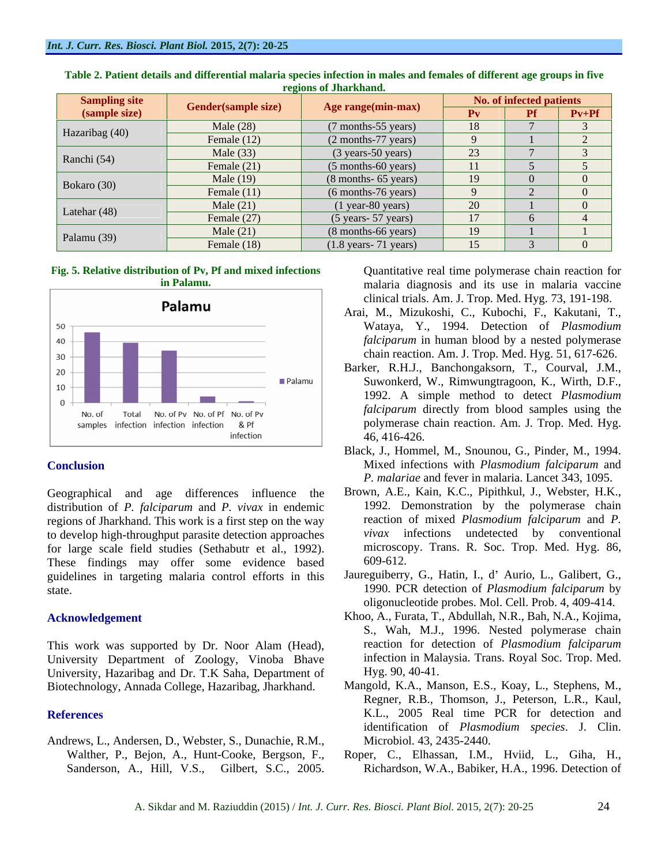| <b>Sampling site</b> |                     | Age range(min-max)                       |                 | No. of infected patients                                                                                                                                                                                                                     |         |
|----------------------|---------------------|------------------------------------------|-----------------|----------------------------------------------------------------------------------------------------------------------------------------------------------------------------------------------------------------------------------------------|---------|
| (sample size)        | Gender(sample size) |                                          | $P_{V}$         | <b>The Contract of the Contract of the Contract of the Contract of the Contract of the Contract of the Contract of the Contract of the Contract of the Contract of the Contract of the Contract of the Contract of the Contract </b><br>- FI | $Pv+Pf$ |
| Hazaribag (40)       | Male $(28)$         | (7 months-55 years)                      | 18              |                                                                                                                                                                                                                                              |         |
|                      | Female $(12)$       | (2 months-77 years)                      |                 |                                                                                                                                                                                                                                              |         |
| Ranchi $(54)$        | Male $(33)$         | $(3 \text{ years}-50 \text{ years})$     | $\cap$<br>د.∠   |                                                                                                                                                                                                                                              |         |
|                      | Female $(21)$       | $(5$ months-60 years)                    | 11              |                                                                                                                                                                                                                                              |         |
| Bokaro (30)          | Male $(19)$         | $(8$ months- 65 years)                   | 19              |                                                                                                                                                                                                                                              |         |
|                      | Female $(11)$       | (6 months-76 years)                      |                 |                                                                                                                                                                                                                                              |         |
| Latehar $(48)$       | Male $(21)$         | $(1$ year-80 years)                      | 20              |                                                                                                                                                                                                                                              |         |
|                      | Female $(27)$       | $(5 \text{ years} - 57 \text{ years})$   | 17              |                                                                                                                                                                                                                                              |         |
|                      | Male $(21)$         | (8 months-66 years)                      | 19              |                                                                                                                                                                                                                                              |         |
| Palamu $(39)$        | Female $(18)$       | $(1.8 \text{ years} - 71 \text{ years})$ | 15 <sup>7</sup> |                                                                                                                                                                                                                                              |         |

| Table 2. Patient details and differential malaria species infection in males and females of different age groups in five |  |
|--------------------------------------------------------------------------------------------------------------------------|--|
| regions of Jharkhand.                                                                                                    |  |

## **Fig. 5. Relative distribution of Pv, Pf and mixed infections**



Geographical and age differences influence the distribution of *P. falciparum* and *P. vivax* in endemic regions of Jharkhand. This work is a first step on the way to develop high-throughput parasite detection approaches for large scale field studies (Sethabutr et al., 1992). microsco<br>These findings may offer some evidence based 609-612. These findings may offer some evidence based guidelines in targeting malaria control efforts in this

This work was supported by Dr. Noor Alam (Head), University Department of Zoology, Vinoba Bhave University, Hazaribag and Dr. T.K Saha, Department of Biotechnology, Annada College, Hazaribag, Jharkhand.

Andrews, L., Andersen, D., Webster, S., Dunachie, R.M.,

**in Palamu.** malaria diagnosis and its use in malaria vaccine clinical trials. Am. J. Trop. Med. Hyg. 73, 191-198.

- Arai, M., Mizukoshi, C., Kubochi, F., Kakutani, T., Wataya, Y., 1994. Detection of *Plasmodium falciparum* in human blood by a nested polymerase chain reaction. Am. J. Trop. Med. Hyg. 51, 617-626.
- Barker, R.H.J., Banchongaksorn, T., Courval, J.M., Suwonkerd, W., Rimwungtragoon, K., Wirth, D.F., 1992. A simple method to detect *Plasmodium falciparum* directly from blood samples using the polymerase chain reaction. Am. J. Trop. Med. Hyg. 46, 416-426.
- **Conclusion** Mixed infections with *Plasmodium falciparum* and Black, J., Hommel, M., Snounou, G., Pinder, M., 1994. *P. malariae* and fever in malaria. Lancet 343, 1095.
	- Brown, A.E., Kain, K.C., Pipithkul, J., Webster, H.K., 1992. Demonstration by the polymerase chain reaction of mixed *Plasmodium falciparum* and *P. vivax* infections undetected by conventional microscopy. Trans. R. Soc. Trop. Med. Hyg. 86, 609-612.
- state. 1990. PCR detection of *Plasmodium falciparum* by Jaureguiberry, G., Hatin, I., d' Aurio, L., Galibert, G., oligonucleotide probes. Mol. Cell. Prob. 4, 409-414.
- **Acknowledgement** Khoo, A., Furata, T., Abdullah, N.R., Bah, N.A., Kojima, S., Wah, M.J., 1996. Nested polymerase chain reaction for detection of *Plasmodium falciparum* infection in Malaysia. Trans. Royal Soc. Trop. Med. Hyg. 90, 40-41.
- **References** K.L., 2005 Real time PCR for detection and Mangold, K.A., Manson, E.S., Koay, L., Stephens, M., Regner, R.B., Thomson, J., Peterson, L.R., Kaul, identification of *Plasmodium species*. J. Clin. Microbiol. 43, 2435-2440.
	- Walther, P., Bejon, A., Hunt-Cooke, Bergson, F., Roper, C., Elhassan, I.M., Hviid, L., Giha, H., Richardson, W.A., Babiker, H.A., 1996. Detection of